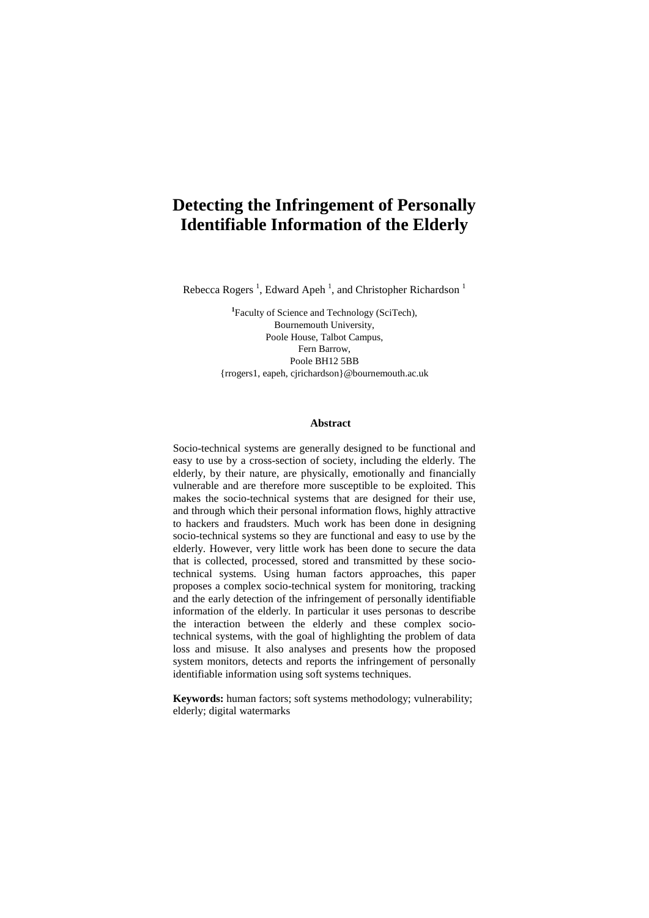# **Detecting the Infringement of Personally Identifiable Information of the Elderly**

Rebecca Rogers<sup>1</sup>, Edward Apeh<sup>1</sup>, and Christopher Richardson<sup>1</sup>

<sup>1</sup> Faculty of Science and Technology (SciTech), Bournemouth University, Poole House, Talbot Campus, Fern Barrow, Poole BH12 5BB {rrogers1, eapeh, cjrichardson}@bournemouth.ac.uk

#### **Abstract**

Socio-technical systems are generally designed to be functional and easy to use by a cross-section of society, including the elderly. The elderly, by their nature, are physically, emotionally and financially vulnerable and are therefore more susceptible to be exploited. This makes the socio-technical systems that are designed for their use, and through which their personal information flows, highly attractive to hackers and fraudsters. Much work has been done in designing socio-technical systems so they are functional and easy to use by the elderly. However, very little work has been done to secure the data that is collected, processed, stored and transmitted by these sociotechnical systems. Using human factors approaches, this paper proposes a complex socio-technical system for monitoring, tracking and the early detection of the infringement of personally identifiable information of the elderly. In particular it uses personas to describe the interaction between the elderly and these complex sociotechnical systems, with the goal of highlighting the problem of data loss and misuse. It also analyses and presents how the proposed system monitors, detects and reports the infringement of personally identifiable information using soft systems techniques.

**Keywords:** human factors; soft systems methodology; vulnerability; elderly; digital watermarks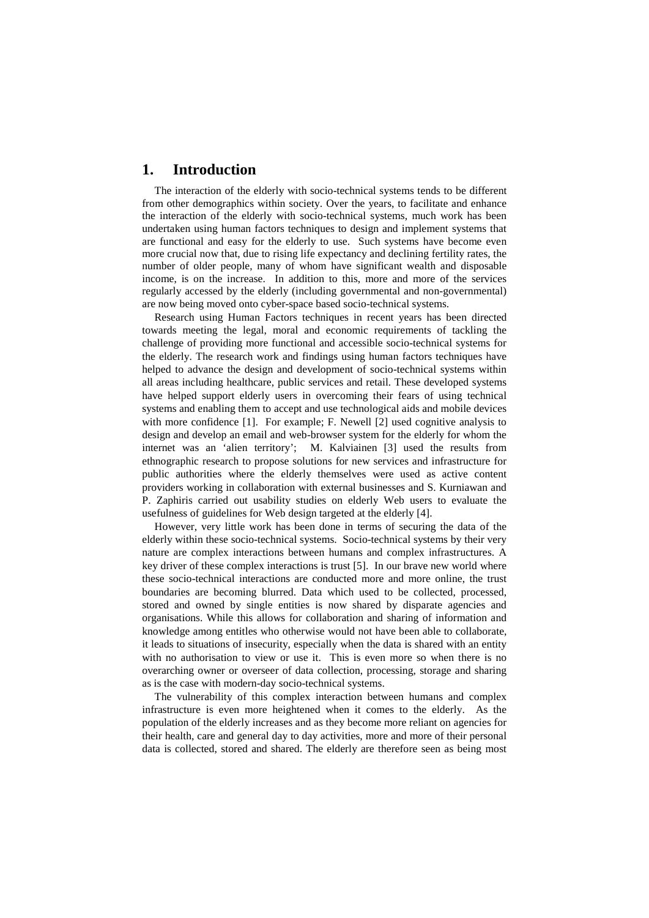# **1. Introduction**

The interaction of the elderly with socio-technical systems tends to be different from other demographics within society. Over the years, to facilitate and enhance the interaction of the elderly with socio-technical systems, much work has been undertaken using human factors techniques to design and implement systems that are functional and easy for the elderly to use. Such systems have become even more crucial now that, due to rising life expectancy and declining fertility rates, the number of older people, many of whom have significant wealth and disposable income, is on the increase. In addition to this, more and more of the services regularly accessed by the elderly (including governmental and non-governmental) are now being moved onto cyber-space based socio-technical systems.

Research using Human Factors techniques in recent years has been directed towards meeting the legal, moral and economic requirements of tackling the challenge of providing more functional and accessible socio-technical systems for the elderly. The research work and findings using human factors techniques have helped to advance the design and development of socio-technical systems within all areas including healthcare, public services and retail. These developed systems have helped support elderly users in overcoming their fears of using technical systems and enabling them to accept and use technological aids and mobile devices with more confidence [1]. For example; F. Newell [2] used cognitive analysis to design and develop an email and web-browser system for the elderly for whom the internet was an 'alien territory'; M. Kalviainen [3] used the results from ethnographic research to propose solutions for new services and infrastructure for public authorities where the elderly themselves were used as active content providers working in collaboration with external businesses and S. Kurniawan and P. Zaphiris carried out usability studies on elderly Web users to evaluate the usefulness of guidelines for Web design targeted at the elderly [4].

However, very little work has been done in terms of securing the data of the elderly within these socio-technical systems. Socio-technical systems by their very nature are complex interactions between humans and complex infrastructures. A key driver of these complex interactions is trust [5]. In our brave new world where these socio-technical interactions are conducted more and more online, the trust boundaries are becoming blurred. Data which used to be collected, processed, stored and owned by single entities is now shared by disparate agencies and organisations. While this allows for collaboration and sharing of information and knowledge among entitles who otherwise would not have been able to collaborate, it leads to situations of insecurity, especially when the data is shared with an entity with no authorisation to view or use it. This is even more so when there is no overarching owner or overseer of data collection, processing, storage and sharing as is the case with modern-day socio-technical systems.

The vulnerability of this complex interaction between humans and complex infrastructure is even more heightened when it comes to the elderly. As the population of the elderly increases and as they become more reliant on agencies for their health, care and general day to day activities, more and more of their personal data is collected, stored and shared. The elderly are therefore seen as being most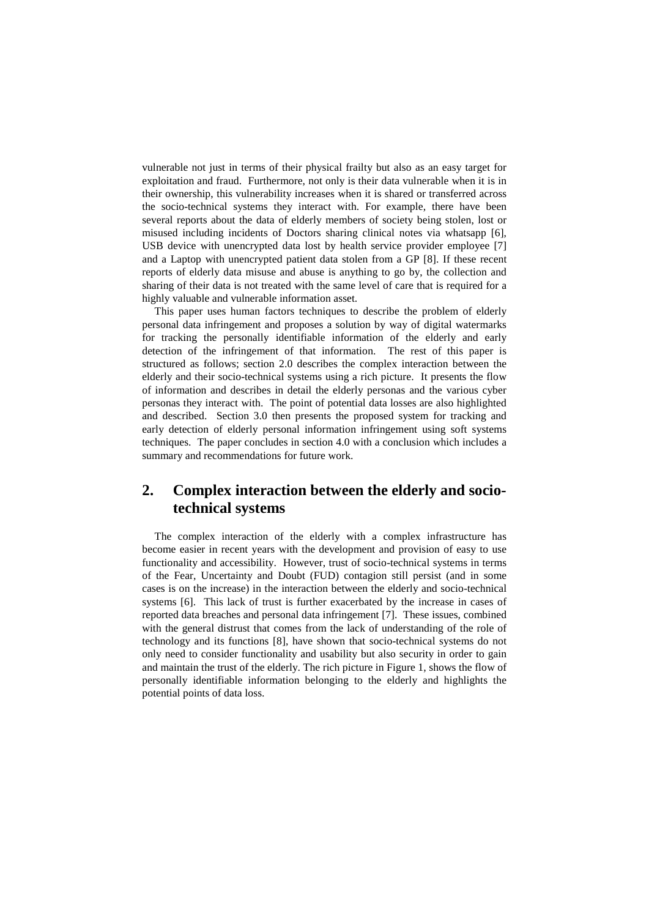vulnerable not just in terms of their physical frailty but also as an easy target for exploitation and fraud. Furthermore, not only is their data vulnerable when it is in their ownership, this vulnerability increases when it is shared or transferred across the socio-technical systems they interact with. For example, there have been several reports about the data of elderly members of society being stolen, lost or misused including incidents of Doctors sharing clinical notes via whatsapp [6], USB device with unencrypted data lost by health service provider employee [7] and a Laptop with unencrypted patient data stolen from a GP [8]. If these recent reports of elderly data misuse and abuse is anything to go by, the collection and sharing of their data is not treated with the same level of care that is required for a highly valuable and vulnerable information asset.

This paper uses human factors techniques to describe the problem of elderly personal data infringement and proposes a solution by way of digital watermarks for tracking the personally identifiable information of the elderly and early detection of the infringement of that information. The rest of this paper is structured as follows; section 2.0 describes the complex interaction between the elderly and their socio-technical systems using a rich picture. It presents the flow of information and describes in detail the elderly personas and the various cyber personas they interact with. The point of potential data losses are also highlighted and described. Section 3.0 then presents the proposed system for tracking and early detection of elderly personal information infringement using soft systems techniques. The paper concludes in section 4.0 with a conclusion which includes a summary and recommendations for future work.

# **2. Complex interaction between the elderly and sociotechnical systems**

The complex interaction of the elderly with a complex infrastructure has become easier in recent years with the development and provision of easy to use functionality and accessibility. However, trust of socio-technical systems in terms of the Fear, Uncertainty and Doubt (FUD) contagion still persist (and in some cases is on the increase) in the interaction between the elderly and socio-technical systems [6]. This lack of trust is further exacerbated by the increase in cases of reported data breaches and personal data infringement [7]. These issues, combined with the general distrust that comes from the lack of understanding of the role of technology and its functions [8], have shown that socio-technical systems do not only need to consider functionality and usability but also security in order to gain and maintain the trust of the elderly. The rich picture in Figure 1, shows the flow of personally identifiable information belonging to the elderly and highlights the potential points of data loss.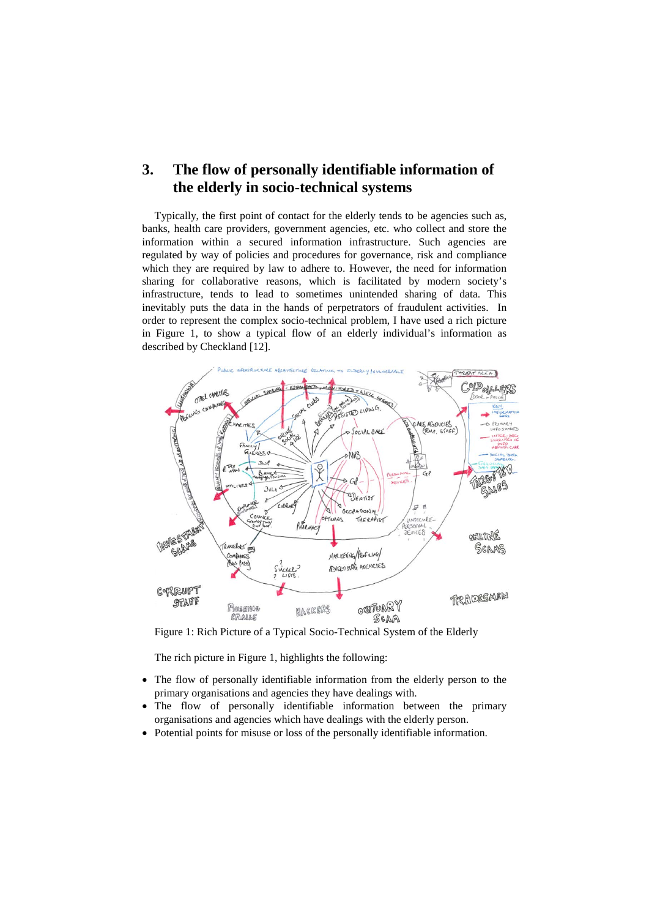# **3. The flow of personally identifiable information of the elderly in socio-technical systems**

Typically, the first point of contact for the elderly tends to be agencies such as, banks, health care providers, government agencies, etc. who collect and store the information within a secured information infrastructure. Such agencies are regulated by way of policies and procedures for governance, risk and compliance which they are required by law to adhere to. However, the need for information sharing for collaborative reasons, which is facilitated by modern society's infrastructure, tends to lead to sometimes unintended sharing of data. This inevitably puts the data in the hands of perpetrators of fraudulent activities. In order to represent the complex socio-technical problem, I have used a rich picture in Figure 1, to show a typical flow of an elderly individual's information as described by Checkland [12].



Figure 1: Rich Picture of a Typical Socio-Technical System of the Elderly

The rich picture in Figure 1, highlights the following:

- The flow of personally identifiable information from the elderly person to the primary organisations and agencies they have dealings with.
- The flow of personally identifiable information between the primary organisations and agencies which have dealings with the elderly person.
- Potential points for misuse or loss of the personally identifiable information.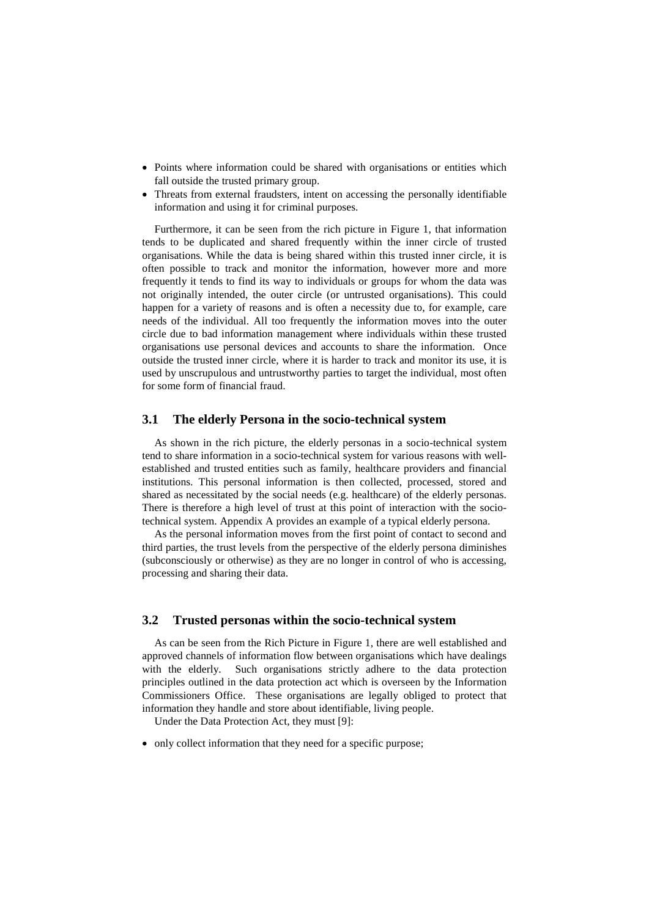- Points where information could be shared with organisations or entities which fall outside the trusted primary group.
- Threats from external fraudsters, intent on accessing the personally identifiable information and using it for criminal purposes.

Furthermore, it can be seen from the rich picture in Figure 1, that information tends to be duplicated and shared frequently within the inner circle of trusted organisations. While the data is being shared within this trusted inner circle, it is often possible to track and monitor the information, however more and more frequently it tends to find its way to individuals or groups for whom the data was not originally intended, the outer circle (or untrusted organisations). This could happen for a variety of reasons and is often a necessity due to, for example, care needs of the individual. All too frequently the information moves into the outer circle due to bad information management where individuals within these trusted organisations use personal devices and accounts to share the information. Once outside the trusted inner circle, where it is harder to track and monitor its use, it is used by unscrupulous and untrustworthy parties to target the individual, most often for some form of financial fraud.

#### **3.1 The elderly Persona in the socio-technical system**

As shown in the rich picture, the elderly personas in a socio-technical system tend to share information in a socio-technical system for various reasons with wellestablished and trusted entities such as family, healthcare providers and financial institutions. This personal information is then collected, processed, stored and shared as necessitated by the social needs (e.g. healthcare) of the elderly personas. There is therefore a high level of trust at this point of interaction with the sociotechnical system. Appendix A provides an example of a typical elderly persona.

As the personal information moves from the first point of contact to second and third parties, the trust levels from the perspective of the elderly persona diminishes (subconsciously or otherwise) as they are no longer in control of who is accessing, processing and sharing their data.

#### **3.2 Trusted personas within the socio-technical system**

As can be seen from the Rich Picture in Figure 1, there are well established and approved channels of information flow between organisations which have dealings with the elderly. Such organisations strictly adhere to the data protection principles outlined in the data protection act which is overseen by the Information Commissioners Office. These organisations are legally obliged to protect that information they handle and store about identifiable, living people.

Under the Data Protection Act, they must [9]:

• only collect information that they need for a specific purpose;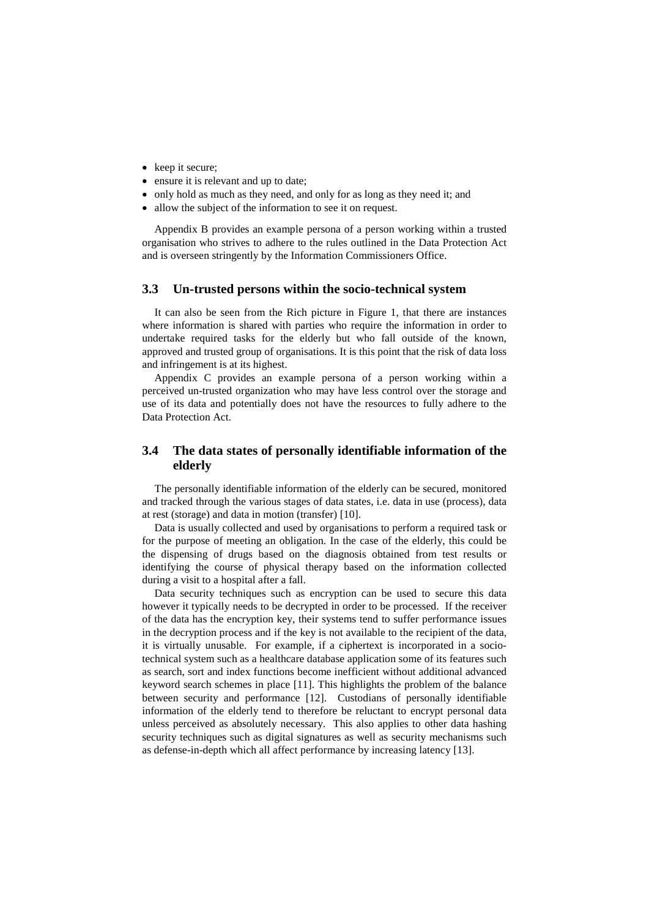- keep it secure;
- ensure it is relevant and up to date;
- only hold as much as they need, and only for as long as they need it; and
- allow the subject of the information to see it on request.

Appendix B provides an example persona of a person working within a trusted organisation who strives to adhere to the rules outlined in the Data Protection Act and is overseen stringently by the Information Commissioners Office.

#### **3.3 Un-trusted persons within the socio-technical system**

It can also be seen from the Rich picture in Figure 1, that there are instances where information is shared with parties who require the information in order to undertake required tasks for the elderly but who fall outside of the known, approved and trusted group of organisations. It is this point that the risk of data loss and infringement is at its highest.

Appendix C provides an example persona of a person working within a perceived un-trusted organization who may have less control over the storage and use of its data and potentially does not have the resources to fully adhere to the Data Protection Act.

### **3.4 The data states of personally identifiable information of the elderly**

The personally identifiable information of the elderly can be secured, monitored and tracked through the various stages of data states, i.e. data in use (process), data at rest (storage) and data in motion (transfer) [10].

Data is usually collected and used by organisations to perform a required task or for the purpose of meeting an obligation. In the case of the elderly, this could be the dispensing of drugs based on the diagnosis obtained from test results or identifying the course of physical therapy based on the information collected during a visit to a hospital after a fall.

Data security techniques such as encryption can be used to secure this data however it typically needs to be decrypted in order to be processed. If the receiver of the data has the encryption key, their systems tend to suffer performance issues in the decryption process and if the key is not available to the recipient of the data, it is virtually unusable. For example, if a ciphertext is incorporated in a sociotechnical system such as a healthcare database application some of its features such as search, sort and index functions become inefficient without additional advanced keyword search schemes in place [11]. This highlights the problem of the balance between security and performance [12]. Custodians of personally identifiable information of the elderly tend to therefore be reluctant to encrypt personal data unless perceived as absolutely necessary. This also applies to other data hashing security techniques such as digital signatures as well as security mechanisms such as defense-in-depth which all affect performance by increasing latency [13].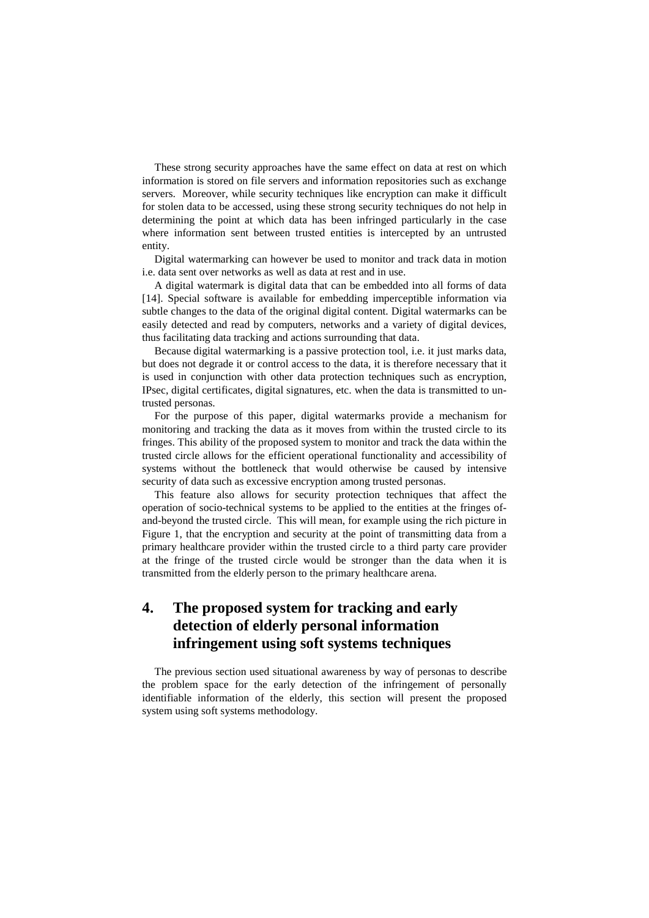These strong security approaches have the same effect on data at rest on which information is stored on file servers and information repositories such as exchange servers. Moreover, while security techniques like encryption can make it difficult for stolen data to be accessed, using these strong security techniques do not help in determining the point at which data has been infringed particularly in the case where information sent between trusted entities is intercepted by an untrusted entity.

Digital watermarking can however be used to monitor and track data in motion i.e. data sent over networks as well as data at rest and in use.

A digital watermark is digital data that can be embedded into all forms of data [14]. Special software is available for embedding imperceptible information via subtle changes to the data of the original digital content. Digital watermarks can be easily detected and read by computers, networks and a variety of digital devices, thus facilitating data tracking and actions surrounding that data.

Because digital watermarking is a passive protection tool, i.e. it just marks data, but does not degrade it or control access to the data, it is therefore necessary that it is used in conjunction with other data protection techniques such as encryption, IPsec, digital certificates, digital signatures, etc. when the data is transmitted to untrusted personas.

For the purpose of this paper, digital watermarks provide a mechanism for monitoring and tracking the data as it moves from within the trusted circle to its fringes. This ability of the proposed system to monitor and track the data within the trusted circle allows for the efficient operational functionality and accessibility of systems without the bottleneck that would otherwise be caused by intensive security of data such as excessive encryption among trusted personas.

This feature also allows for security protection techniques that affect the operation of socio-technical systems to be applied to the entities at the fringes ofand-beyond the trusted circle. This will mean, for example using the rich picture in Figure 1, that the encryption and security at the point of transmitting data from a primary healthcare provider within the trusted circle to a third party care provider at the fringe of the trusted circle would be stronger than the data when it is transmitted from the elderly person to the primary healthcare arena.

# **4. The proposed system for tracking and early detection of elderly personal information infringement using soft systems techniques**

The previous section used situational awareness by way of personas to describe the problem space for the early detection of the infringement of personally identifiable information of the elderly, this section will present the proposed system using soft systems methodology.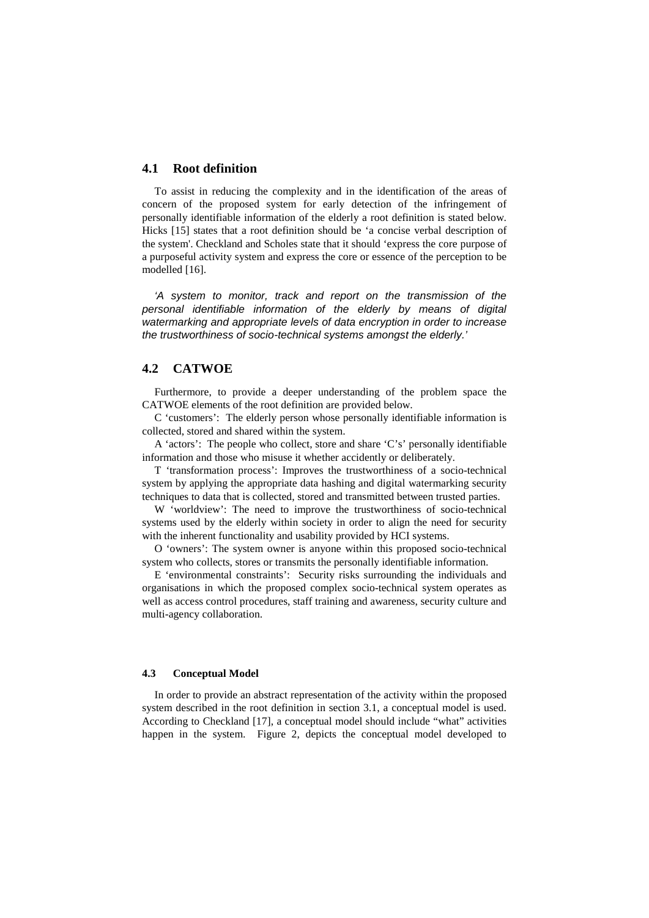#### **4.1 Root definition**

To assist in reducing the complexity and in the identification of the areas of concern of the proposed system for early detection of the infringement of personally identifiable information of the elderly a root definition is stated below. Hicks [15] states that a root definition should be 'a concise verbal description of the system'. Checkland and Scholes state that it should 'express the core purpose of a purposeful activity system and express the core or essence of the perception to be modelled [16].

*'A system to monitor, track and report on the transmission of the personal identifiable information of the elderly by means of digital watermarking and appropriate levels of data encryption in order to increase the trustworthiness of socio-technical systems amongst the elderly.'*

#### **4.2 CATWOE**

Furthermore, to provide a deeper understanding of the problem space the CATWOE elements of the root definition are provided below.

C 'customers': The elderly person whose personally identifiable information is collected, stored and shared within the system.

A 'actors': The people who collect, store and share 'C's' personally identifiable information and those who misuse it whether accidently or deliberately.

T 'transformation process': Improves the trustworthiness of a socio-technical system by applying the appropriate data hashing and digital watermarking security techniques to data that is collected, stored and transmitted between trusted parties.

W 'worldview': The need to improve the trustworthiness of socio-technical systems used by the elderly within society in order to align the need for security with the inherent functionality and usability provided by HCI systems.

O 'owners': The system owner is anyone within this proposed socio-technical system who collects, stores or transmits the personally identifiable information.

E 'environmental constraints': Security risks surrounding the individuals and organisations in which the proposed complex socio-technical system operates as well as access control procedures, staff training and awareness, security culture and multi-agency collaboration.

#### **4.3 Conceptual Model**

In order to provide an abstract representation of the activity within the proposed system described in the root definition in section 3.1, a conceptual model is used. According to Checkland [17], a conceptual model should include "what" activities happen in the system. Figure 2, depicts the conceptual model developed to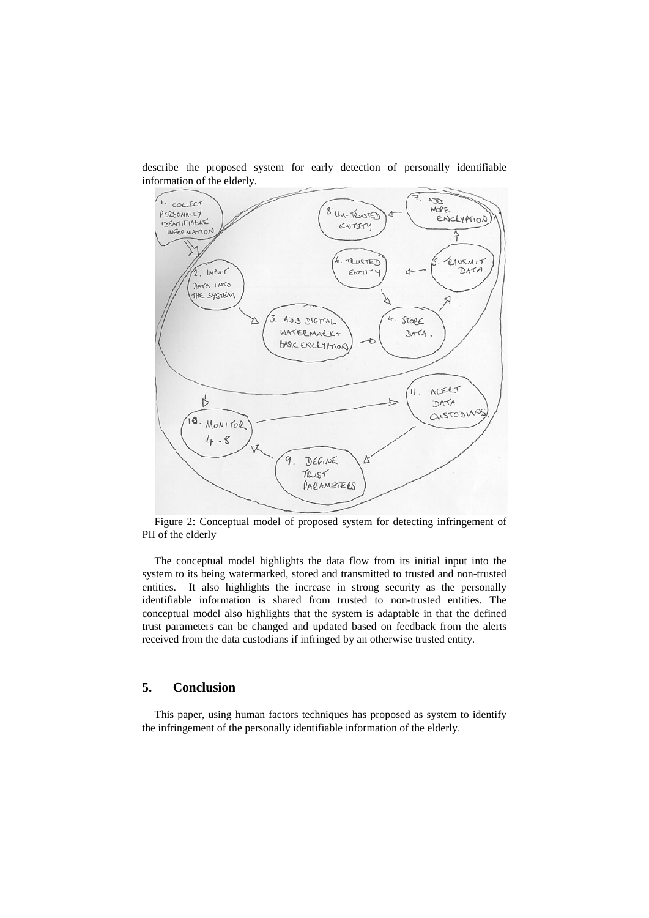

describe the proposed system for early detection of personally identifiable information of the elderly.

Figure 2: Conceptual model of proposed system for detecting infringement of PII of the elderly

The conceptual model highlights the data flow from its initial input into the system to its being watermarked, stored and transmitted to trusted and non-trusted entities. It also highlights the increase in strong security as the personally identifiable information is shared from trusted to non-trusted entities. The conceptual model also highlights that the system is adaptable in that the defined trust parameters can be changed and updated based on feedback from the alerts received from the data custodians if infringed by an otherwise trusted entity.

### **5. Conclusion**

This paper, using human factors techniques has proposed as system to identify the infringement of the personally identifiable information of the elderly.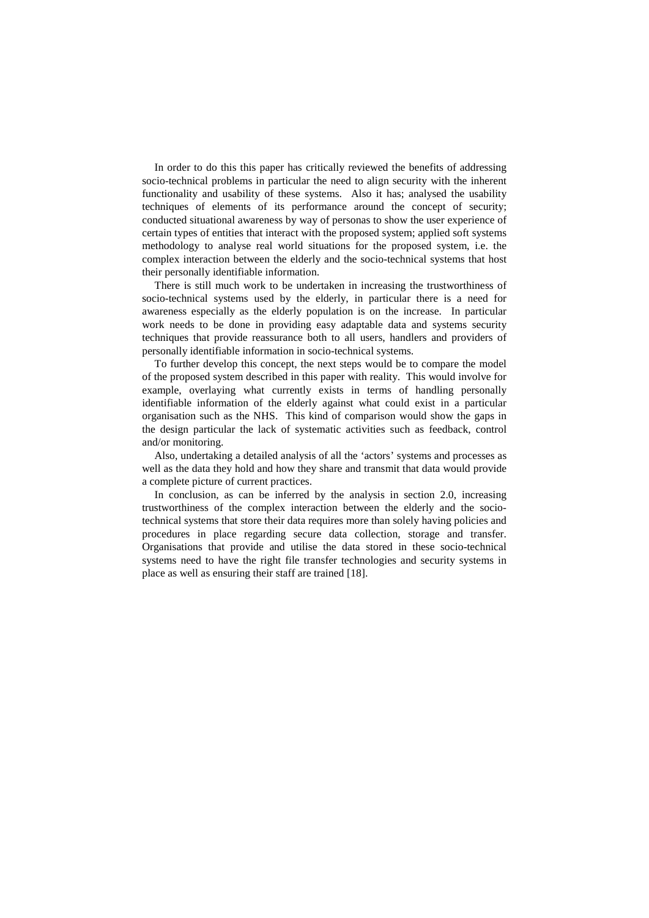In order to do this this paper has critically reviewed the benefits of addressing socio-technical problems in particular the need to align security with the inherent functionality and usability of these systems. Also it has; analysed the usability techniques of elements of its performance around the concept of security; conducted situational awareness by way of personas to show the user experience of certain types of entities that interact with the proposed system; applied soft systems methodology to analyse real world situations for the proposed system, i.e. the complex interaction between the elderly and the socio-technical systems that host their personally identifiable information.

There is still much work to be undertaken in increasing the trustworthiness of socio-technical systems used by the elderly, in particular there is a need for awareness especially as the elderly population is on the increase. In particular work needs to be done in providing easy adaptable data and systems security techniques that provide reassurance both to all users, handlers and providers of personally identifiable information in socio-technical systems.

To further develop this concept, the next steps would be to compare the model of the proposed system described in this paper with reality. This would involve for example, overlaying what currently exists in terms of handling personally identifiable information of the elderly against what could exist in a particular organisation such as the NHS. This kind of comparison would show the gaps in the design particular the lack of systematic activities such as feedback, control and/or monitoring.

Also, undertaking a detailed analysis of all the 'actors' systems and processes as well as the data they hold and how they share and transmit that data would provide a complete picture of current practices.

In conclusion, as can be inferred by the analysis in section 2.0, increasing trustworthiness of the complex interaction between the elderly and the sociotechnical systems that store their data requires more than solely having policies and procedures in place regarding secure data collection, storage and transfer. Organisations that provide and utilise the data stored in these socio-technical systems need to have the right file transfer technologies and security systems in place as well as ensuring their staff are trained [18].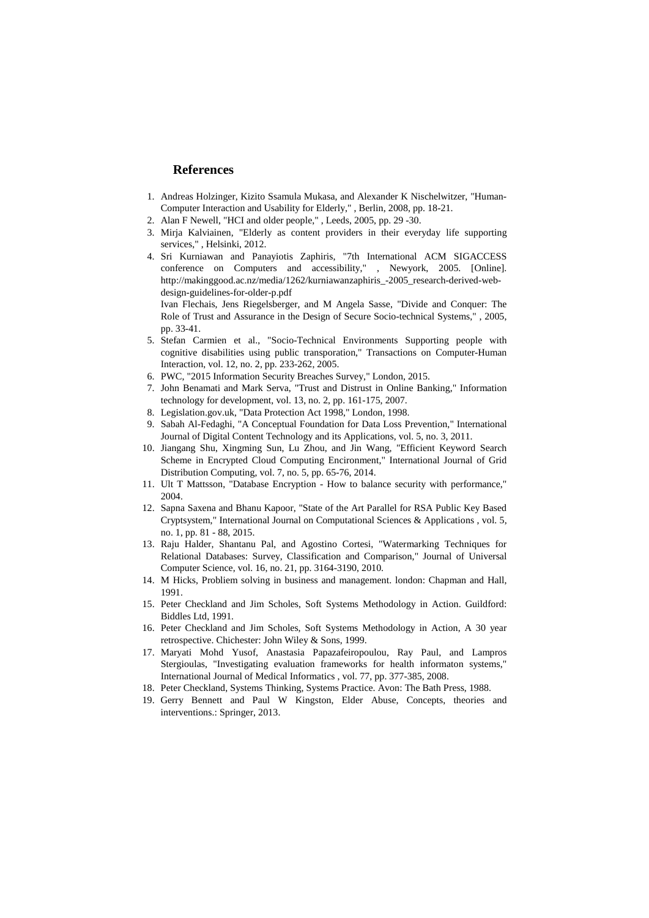#### **References**

- 1. Andreas Holzinger, Kizito Ssamula Mukasa, and Alexander K Nischelwitzer, "Human-Computer Interaction and Usability for Elderly," , Berlin, 2008, pp. 18-21.
- 2. Alan F Newell, "HCI and older people," , Leeds, 2005, pp. 29 -30.
- 3. Mirja Kalviainen, "Elderly as content providers in their everyday life supporting services," , Helsinki, 2012.
- 4. Sri Kurniawan and Panayiotis Zaphiris, "7th International ACM SIGACCESS conference on Computers and accessibility," , Newyork, 2005. [Online]. http://makinggood.ac.nz/media/1262/kurniawanzaphiris\_-2005\_research-derived-webdesign-guidelines-for-older-p.pdf

Ivan Flechais, Jens Riegelsberger, and M Angela Sasse, "Divide and Conquer: The Role of Trust and Assurance in the Design of Secure Socio-technical Systems," , 2005, pp. 33-41.

- 5. Stefan Carmien et al., "Socio-Technical Environments Supporting people with cognitive disabilities using public transporation," Transactions on Computer-Human Interaction, vol. 12, no. 2, pp. 233-262, 2005.
- 6. PWC, "2015 Information Security Breaches Survey," London, 2015.
- 7. John Benamati and Mark Serva, "Trust and Distrust in Online Banking," Information technology for development, vol. 13, no. 2, pp. 161-175, 2007.
- 8. Legislation.gov.uk, "Data Protection Act 1998," London, 1998.
- 9. Sabah Al-Fedaghi, "A Conceptual Foundation for Data Loss Prevention," International Journal of Digital Content Technology and its Applications, vol. 5, no. 3, 2011.
- 10. Jiangang Shu, Xingming Sun, Lu Zhou, and Jin Wang, "Efficient Keyword Search Scheme in Encrypted Cloud Computing Encironment," International Journal of Grid Distribution Computing, vol. 7, no. 5, pp. 65-76, 2014.
- 11. Ult T Mattsson, "Database Encryption How to balance security with performance," 2004.
- 12. Sapna Saxena and Bhanu Kapoor, "State of the Art Parallel for RSA Public Key Based Cryptsystem," International Journal on Computational Sciences & Applications , vol. 5, no. 1, pp. 81 - 88, 2015.
- 13. Raju Halder, Shantanu Pal, and Agostino Cortesi, "Watermarking Techniques for Relational Databases: Survey, Classification and Comparison," Journal of Universal Computer Science, vol. 16, no. 21, pp. 3164-3190, 2010.
- 14. M Hicks, Probliem solving in business and management. london: Chapman and Hall, 1991.
- 15. Peter Checkland and Jim Scholes, Soft Systems Methodology in Action. Guildford: Biddles Ltd, 1991.
- 16. Peter Checkland and Jim Scholes, Soft Systems Methodology in Action, A 30 year retrospective. Chichester: John Wiley & Sons, 1999.
- 17. Maryati Mohd Yusof, Anastasia Papazafeiropoulou, Ray Paul, and Lampros Stergioulas, "Investigating evaluation frameworks for health informaton systems," International Journal of Medical Informatics , vol. 77, pp. 377-385, 2008.
- 18. Peter Checkland, Systems Thinking, Systems Practice. Avon: The Bath Press, 1988.
- 19. Gerry Bennett and Paul W Kingston, Elder Abuse, Concepts, theories and interventions.: Springer, 2013.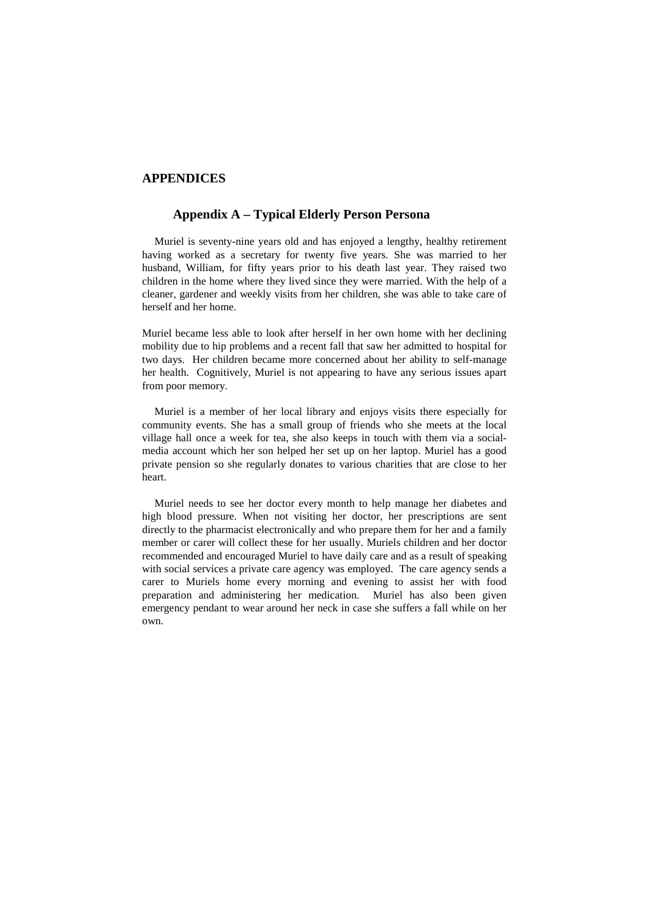#### **APPENDICES**

#### **Appendix A – Typical Elderly Person Persona**

Muriel is seventy-nine years old and has enjoyed a lengthy, healthy retirement having worked as a secretary for twenty five years. She was married to her husband, William, for fifty years prior to his death last year. They raised two children in the home where they lived since they were married. With the help of a cleaner, gardener and weekly visits from her children, she was able to take care of herself and her home.

Muriel became less able to look after herself in her own home with her declining mobility due to hip problems and a recent fall that saw her admitted to hospital for two days. Her children became more concerned about her ability to self-manage her health. Cognitively, Muriel is not appearing to have any serious issues apart from poor memory.

Muriel is a member of her local library and enjoys visits there especially for community events. She has a small group of friends who she meets at the local village hall once a week for tea, she also keeps in touch with them via a socialmedia account which her son helped her set up on her laptop. Muriel has a good private pension so she regularly donates to various charities that are close to her heart.

Muriel needs to see her doctor every month to help manage her diabetes and high blood pressure. When not visiting her doctor, her prescriptions are sent directly to the pharmacist electronically and who prepare them for her and a family member or carer will collect these for her usually. Muriels children and her doctor recommended and encouraged Muriel to have daily care and as a result of speaking with social services a private care agency was employed. The care agency sends a carer to Muriels home every morning and evening to assist her with food preparation and administering her medication. Muriel has also been given emergency pendant to wear around her neck in case she suffers a fall while on her own.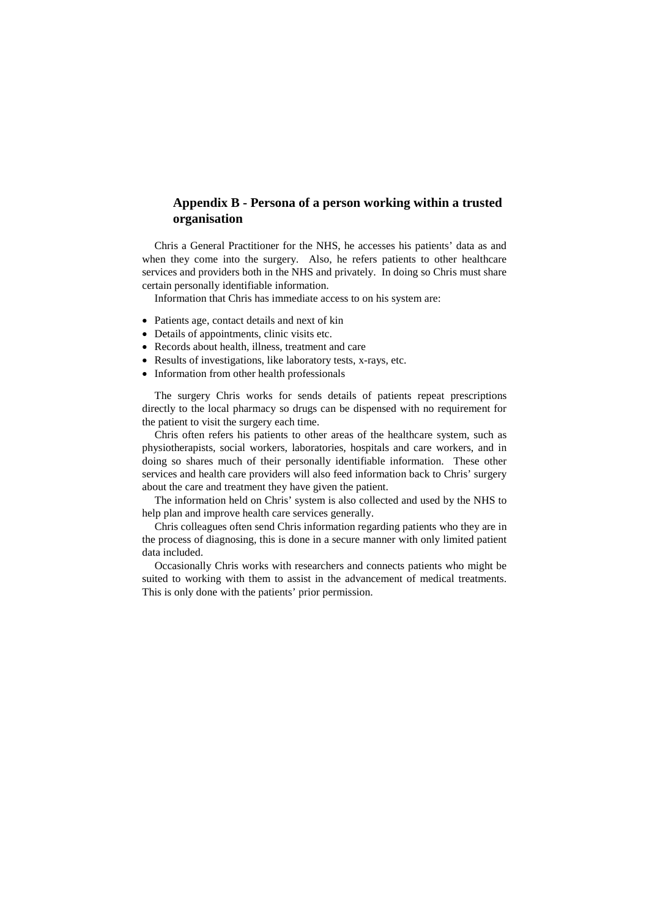### **Appendix B - Persona of a person working within a trusted organisation**

Chris a General Practitioner for the NHS, he accesses his patients' data as and when they come into the surgery. Also, he refers patients to other healthcare services and providers both in the NHS and privately. In doing so Chris must share certain personally identifiable information.

Information that Chris has immediate access to on his system are:

- Patients age, contact details and next of kin
- Details of appointments, clinic visits etc.
- Records about health, illness, treatment and care
- Results of investigations, like laboratory tests, x-rays, etc.
- Information from other health professionals

The surgery Chris works for sends details of patients repeat prescriptions directly to the local pharmacy so drugs can be dispensed with no requirement for the patient to visit the surgery each time.

Chris often refers his patients to other areas of the healthcare system, such as physiotherapists, social workers, laboratories, hospitals and care workers, and in doing so shares much of their personally identifiable information. These other services and health care providers will also feed information back to Chris' surgery about the care and treatment they have given the patient.

The information held on Chris' system is also collected and used by the NHS to help plan and improve health care services generally.

Chris colleagues often send Chris information regarding patients who they are in the process of diagnosing, this is done in a secure manner with only limited patient data included.

Occasionally Chris works with researchers and connects patients who might be suited to working with them to assist in the advancement of medical treatments. This is only done with the patients' prior permission.